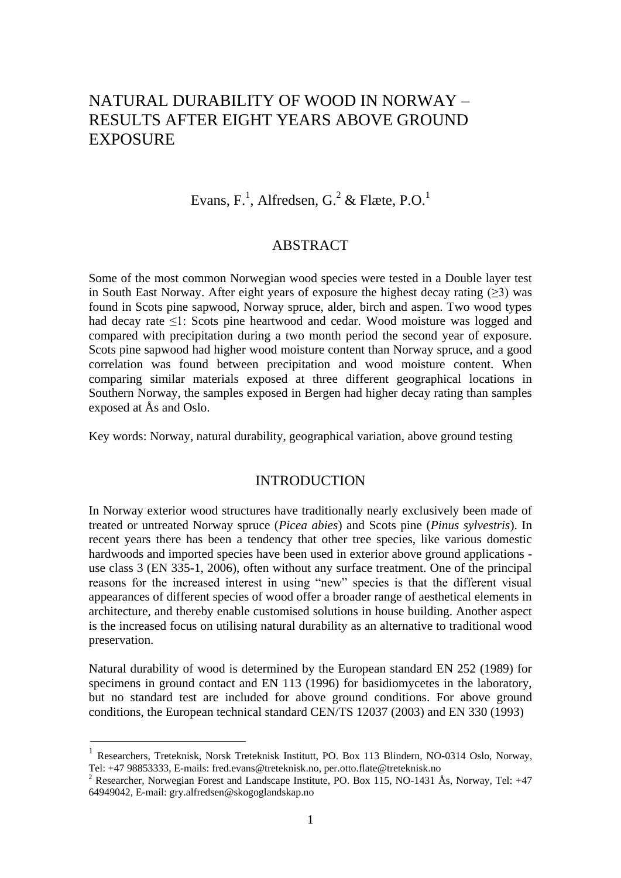# NATURAL DURABILITY OF WOOD IN NORWAY – RESULTS AFTER EIGHT YEARS ABOVE GROUND EXPOSURE

Evans, F.<sup>1</sup>, Alfredsen, G.<sup>2</sup> & Flæte, P.O.<sup>1</sup>

### ABSTRACT

Some of the most common Norwegian wood species were tested in a Double layer test in South East Norway. After eight years of exposure the highest decay rating  $(>3)$  was found in Scots pine sapwood, Norway spruce, alder, birch and aspen. Two wood types had decay rate ≤1: Scots pine heartwood and cedar. Wood moisture was logged and compared with precipitation during a two month period the second year of exposure. Scots pine sapwood had higher wood moisture content than Norway spruce, and a good correlation was found between precipitation and wood moisture content. When comparing similar materials exposed at three different geographical locations in Southern Norway, the samples exposed in Bergen had higher decay rating than samples exposed at Ås and Oslo.

Key words: Norway, natural durability, geographical variation, above ground testing

## INTRODUCTION

In Norway exterior wood structures have traditionally nearly exclusively been made of treated or untreated Norway spruce (*Picea abies*) and Scots pine (*Pinus sylvestris*). In recent years there has been a tendency that other tree species, like various domestic hardwoods and imported species have been used in exterior above ground applications use class 3 (EN 335-1, 2006), often without any surface treatment. One of the principal reasons for the increased interest in using "new" species is that the different visual appearances of different species of wood offer a broader range of aesthetical elements in architecture, and thereby enable customised solutions in house building. Another aspect is the increased focus on utilising natural durability as an alternative to traditional wood preservation.

Natural durability of wood is determined by the European standard EN 252 (1989) for specimens in ground contact and EN 113 (1996) for basidiomycetes in the laboratory, but no standard test are included for above ground conditions. For above ground conditions, the European technical standard CEN/TS 12037 (2003) and EN 330 (1993)

<sup>&</sup>lt;sup>1</sup> Researchers, Treteknisk, Norsk Treteknisk Institutt, PO. Box 113 Blindern, NO-0314 Oslo, Norway, Tel: +47 98853333, E-mails: fred.evans@treteknisk.no, per.otto.flate@treteknisk.no

 $2$  Researcher, Norwegian Forest and Landscape Institute, PO. Box 115, NO-1431 Ås, Norway, Tel:  $+47$ 64949042, E-mail: gry.alfredsen@skogoglandskap.no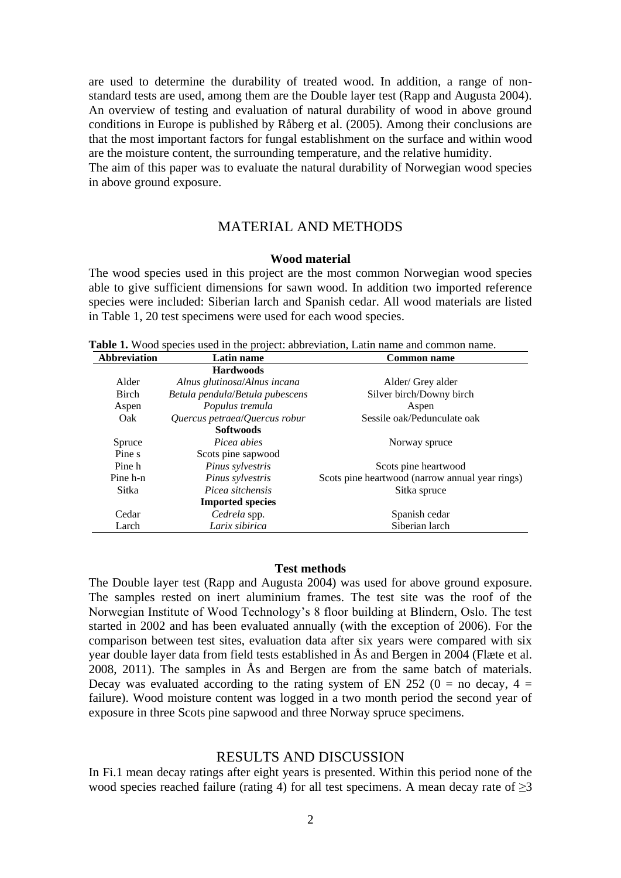are used to determine the durability of treated wood. In addition, a range of nonstandard tests are used, among them are the Double layer test (Rapp and Augusta 2004). An overview of testing and evaluation of natural durability of wood in above ground conditions in Europe is published by Råberg et al. (2005). Among their conclusions are that the most important factors for fungal establishment on the surface and within wood are the moisture content, the surrounding temperature, and the relative humidity.

The aim of this paper was to evaluate the natural durability of Norwegian wood species in above ground exposure.

### MATERIAL AND METHODS

### **Wood material**

The wood species used in this project are the most common Norwegian wood species able to give sufficient dimensions for sawn wood. In addition two imported reference species were included: Siberian larch and Spanish cedar. All wood materials are listed in Table 1, 20 test specimens were used for each wood species.

| <b>Abbreviation</b> | Latin name                      | <b>Common name</b>                              |
|---------------------|---------------------------------|-------------------------------------------------|
|                     | <b>Hardwoods</b>                |                                                 |
| Alder               | Alnus glutinosa/Alnus incana    | Alder/ Grey alder                               |
| <b>Birch</b>        | Betula pendula/Betula pubescens | Silver birch/Downy birch                        |
| Aspen               | Populus tremula                 | Aspen                                           |
| Oak                 | Quercus petraea/Quercus robur   | Sessile oak/Pedunculate oak                     |
|                     | <b>Softwoods</b>                |                                                 |
| Spruce              | Picea abies                     | Norway spruce                                   |
| Pine s              | Scots pine sapwood              |                                                 |
| Pine h              | Pinus sylvestris                | Scots pine heartwood                            |
| Pine h-n            | Pinus sylvestris                | Scots pine heartwood (narrow annual year rings) |
| Sitka               | Picea sitchensis                | Sitka spruce                                    |
|                     | <b>Imported species</b>         |                                                 |
| Cedar               | Cedrela spp.                    | Spanish cedar                                   |
| Larch               | Larix sibirica                  | Siberian larch                                  |

**Table 1.** Wood species used in the project: abbreviation, Latin name and common name.

#### **Test methods**

The Double layer test (Rapp and Augusta 2004) was used for above ground exposure. The samples rested on inert aluminium frames. The test site was the roof of the Norwegian Institute of Wood Technology's 8 floor building at Blindern, Oslo. The test started in 2002 and has been evaluated annually (with the exception of 2006). For the comparison between test sites, evaluation data after six years were compared with six year double layer data from field tests established in Ås and Bergen in 2004 (Flæte et al. 2008, 2011). The samples in Ås and Bergen are from the same batch of materials. Decay was evaluated according to the rating system of EN 252 ( $0 =$  no decay,  $4 =$ failure). Wood moisture content was logged in a two month period the second year of exposure in three Scots pine sapwood and three Norway spruce specimens.

### RESULTS AND DISCUSSION

In Fi.1 mean decay ratings after eight years is presented. Within this period none of the wood species reached failure (rating 4) for all test specimens. A mean decay rate of  $\geq$ 3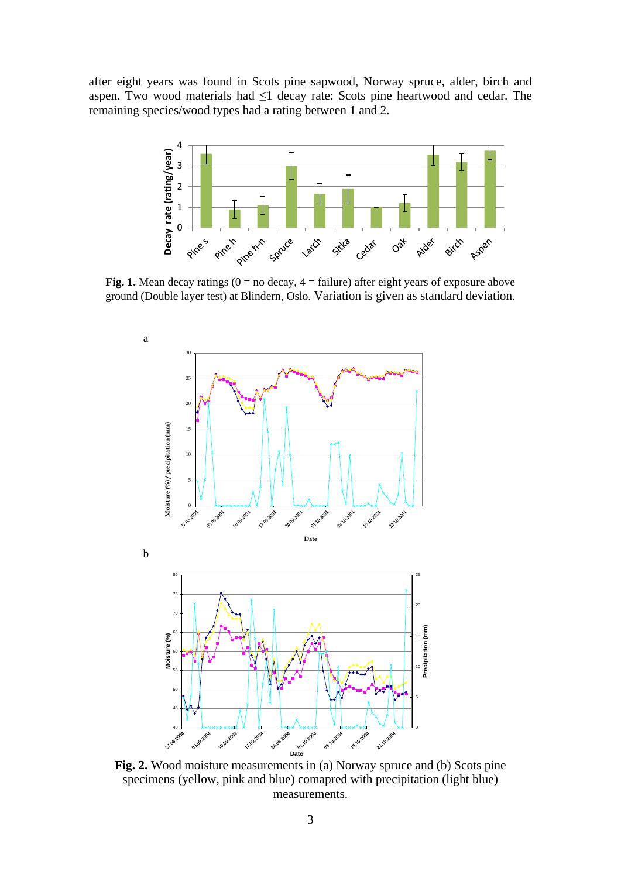after eight years was found in Scots pine sapwood, Norway spruce, alder, birch and aspen. Two wood materials had ≤1 decay rate: Scots pine heartwood and cedar. The remaining species/wood types had a rating between 1 and 2.



**Fig. 1.** Mean decay ratings  $(0 = no$  decay,  $4 = failure$ ) after eight years of exposure above ground (Double layer test) at Blindern, Oslo. Variation is given as standard deviation.



**Fig. 2.** Wood moisture measurements in (a) Norway spruce and (b) Scots pine specimens (yellow, pink and blue) comapred with precipitation (light blue) measurements.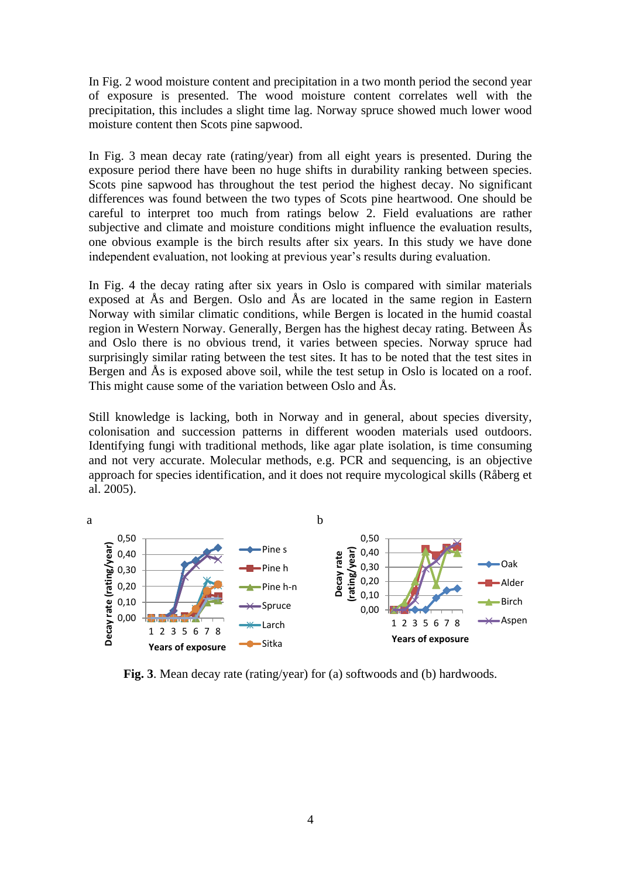In Fig. 2 wood moisture content and precipitation in a two month period the second year of exposure is presented. The wood moisture content correlates well with the precipitation, this includes a slight time lag. Norway spruce showed much lower wood moisture content then Scots pine sapwood.

In Fig. 3 mean decay rate (rating/year) from all eight years is presented. During the exposure period there have been no huge shifts in durability ranking between species. Scots pine sapwood has throughout the test period the highest decay. No significant differences was found between the two types of Scots pine heartwood. One should be careful to interpret too much from ratings below 2. Field evaluations are rather subjective and climate and moisture conditions might influence the evaluation results, one obvious example is the birch results after six years. In this study we have done independent evaluation, not looking at previous year's results during evaluation.

In Fig. 4 the decay rating after six years in Oslo is compared with similar materials exposed at Ås and Bergen. Oslo and Ås are located in the same region in Eastern Norway with similar climatic conditions, while Bergen is located in the humid coastal region in Western Norway. Generally, Bergen has the highest decay rating. Between Ås and Oslo there is no obvious trend, it varies between species. Norway spruce had surprisingly similar rating between the test sites. It has to be noted that the test sites in Bergen and Ås is exposed above soil, while the test setup in Oslo is located on a roof. This might cause some of the variation between Oslo and Ås.

Still knowledge is lacking, both in Norway and in general, about species diversity, colonisation and succession patterns in different wooden materials used outdoors. Identifying fungi with traditional methods, like agar plate isolation, is time consuming and not very accurate. Molecular methods, e.g. PCR and sequencing, is an objective approach for species identification, and it does not require mycological skills (Råberg et al. 2005).



**Fig. 3**. Mean decay rate (rating/year) for (a) softwoods and (b) hardwoods.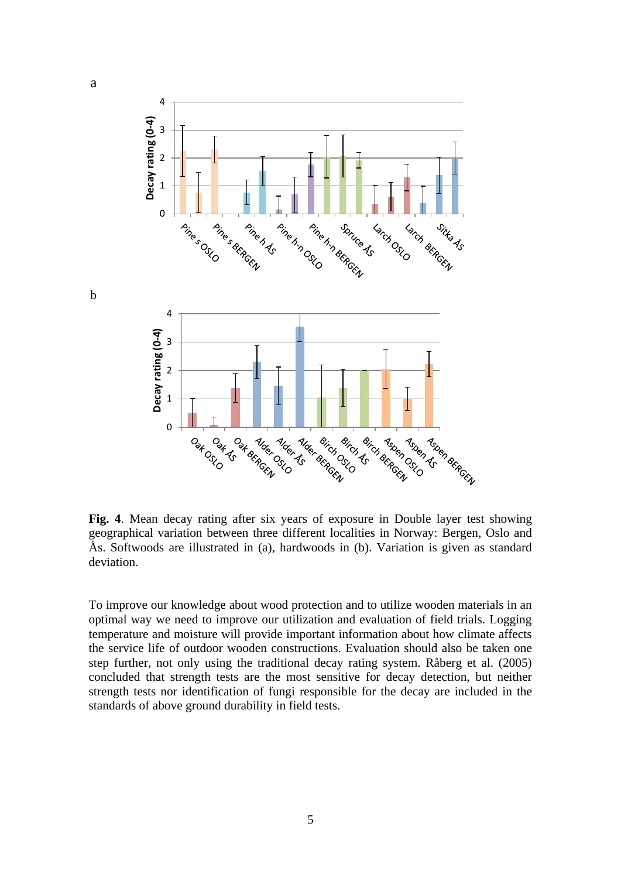

**Fig. 4**. Mean decay rating after six years of exposure in Double layer test showing geographical variation between three different localities in Norway: Bergen, Oslo and Ås. Softwoods are illustrated in (a), hardwoods in (b). Variation is given as standard deviation.

To improve our knowledge about wood protection and to utilize wooden materials in an optimal way we need to improve our utilization and evaluation of field trials. Logging temperature and moisture will provide important information about how climate affects the service life of outdoor wooden constructions. Evaluation should also be taken one step further, not only using the traditional decay rating system. Råberg et al. (2005) concluded that strength tests are the most sensitive for decay detection, but neither strength tests nor identification of fungi responsible for the decay are included in the standards of above ground durability in field tests.

b